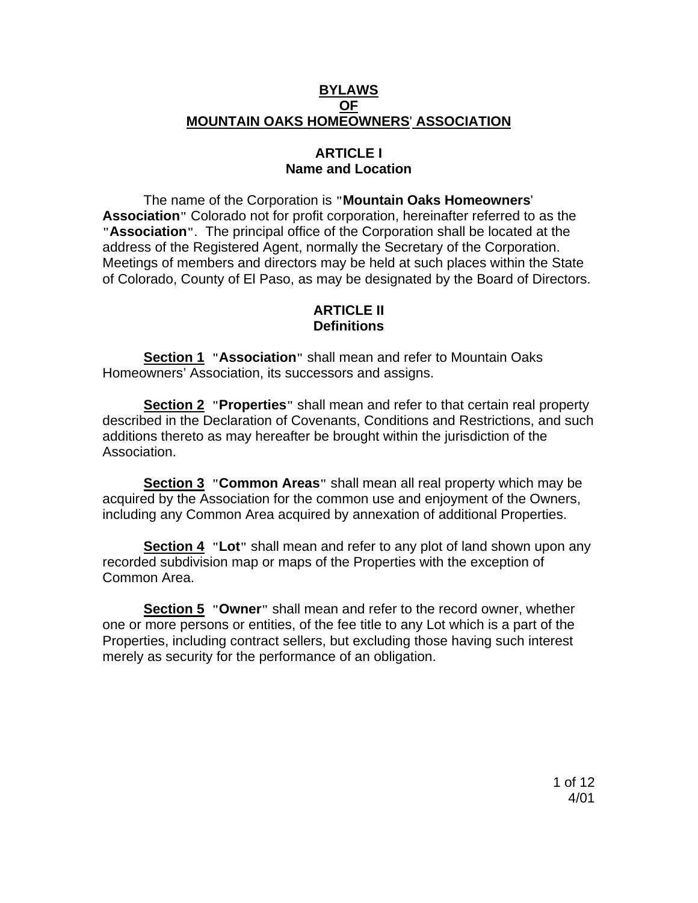### **BYLAWS OF MOUNTAIN OAKS HOMEOWNERS**' **ASSOCIATION**

# **ARTICLE I Name and Location**

 The name of the Corporation is **"Mountain Oaks Homeowners**' **Association"** Colorado not for profit corporation, hereinafter referred to as the **"Association"**. The principal office of the Corporation shall be located at the address of the Registered Agent, normally the Secretary of the Corporation. Meetings of members and directors may be held at such places within the State of Colorado, County of El Paso, as may be designated by the Board of Directors.

# **ARTICLE II Definitions**

 **Section 1 "Association"** shall mean and refer to Mountain Oaks Homeowners' Association, its successors and assigns.

**Section 2 "Properties"** shall mean and refer to that certain real property described in the Declaration of Covenants, Conditions and Restrictions, and such additions thereto as may hereafter be brought within the jurisdiction of the Association.

**Section 3 "Common Areas"** shall mean all real property which may be acquired by the Association for the common use and enjoyment of the Owners, including any Common Area acquired by annexation of additional Properties.

**Section 4 "Lot"** shall mean and refer to any plot of land shown upon any recorded subdivision map or maps of the Properties with the exception of Common Area.

**Section 5 "Owner"** shall mean and refer to the record owner, whether one or more persons or entities, of the fee title to any Lot which is a part of the Properties, including contract sellers, but excluding those having such interest merely as security for the performance of an obligation.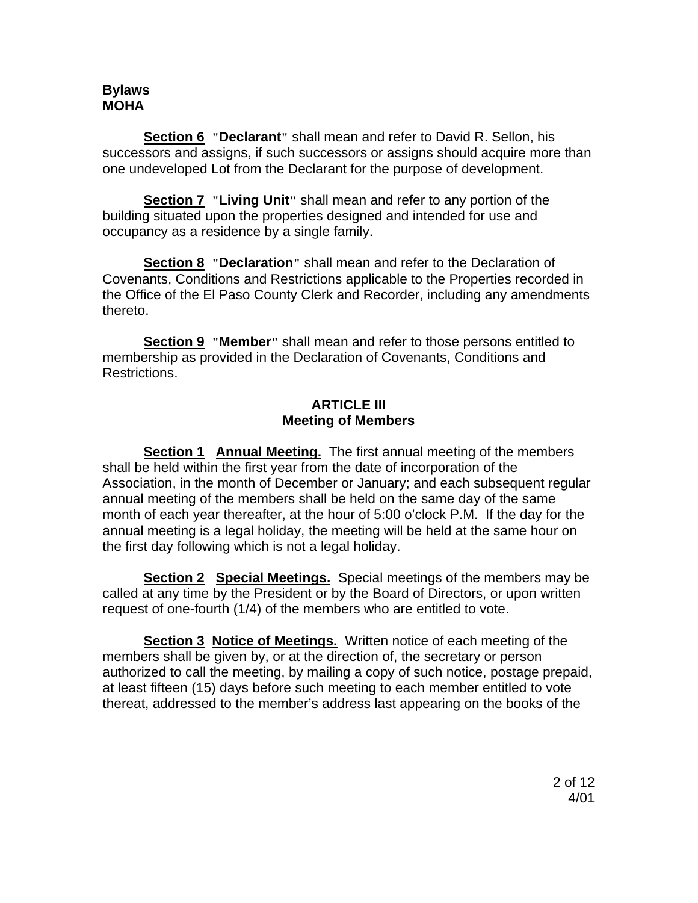**Section 6 "Declarant"** shall mean and refer to David R. Sellon, his successors and assigns, if such successors or assigns should acquire more than one undeveloped Lot from the Declarant for the purpose of development.

**Section 7 "Living Unit"** shall mean and refer to any portion of the building situated upon the properties designed and intended for use and occupancy as a residence by a single family.

**Section 8 "Declaration"** shall mean and refer to the Declaration of Covenants, Conditions and Restrictions applicable to the Properties recorded in the Office of the El Paso County Clerk and Recorder, including any amendments thereto.

**Section 9 "Member"** shall mean and refer to those persons entitled to membership as provided in the Declaration of Covenants, Conditions and Restrictions.

### **ARTICLE III Meeting of Members**

**Section 1 Annual Meeting.** The first annual meeting of the members shall be held within the first year from the date of incorporation of the Association, in the month of December or January; and each subsequent regular annual meeting of the members shall be held on the same day of the same month of each year thereafter, at the hour of 5:00 o'clock P.M. If the day for the annual meeting is a legal holiday, the meeting will be held at the same hour on the first day following which is not a legal holiday.

**Section 2 Special Meetings.** Special meetings of the members may be called at any time by the President or by the Board of Directors, or upon written request of one-fourth (1/4) of the members who are entitled to vote.

**Section 3 Notice of Meetings.** Written notice of each meeting of the members shall be given by, or at the direction of, the secretary or person authorized to call the meeting, by mailing a copy of such notice, postage prepaid, at least fifteen (15) days before such meeting to each member entitled to vote thereat, addressed to the member's address last appearing on the books of the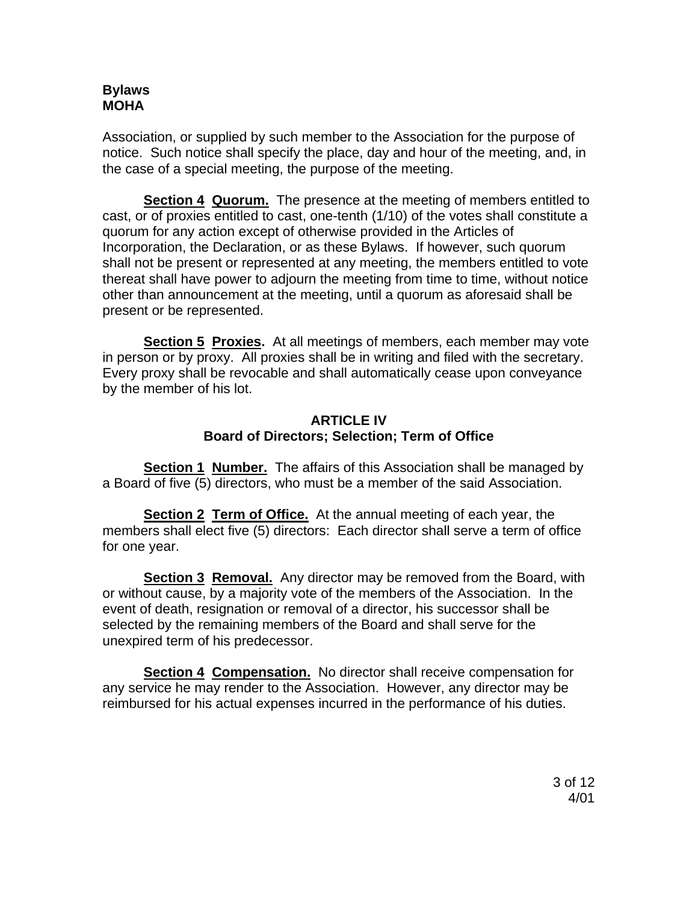Association, or supplied by such member to the Association for the purpose of notice. Such notice shall specify the place, day and hour of the meeting, and, in the case of a special meeting, the purpose of the meeting.

**Section 4 Quorum.** The presence at the meeting of members entitled to cast, or of proxies entitled to cast, one-tenth (1/10) of the votes shall constitute a quorum for any action except of otherwise provided in the Articles of Incorporation, the Declaration, or as these Bylaws. If however, such quorum shall not be present or represented at any meeting, the members entitled to vote thereat shall have power to adjourn the meeting from time to time, without notice other than announcement at the meeting, until a quorum as aforesaid shall be present or be represented.

**Section 5 Proxies.** At all meetings of members, each member may vote in person or by proxy. All proxies shall be in writing and filed with the secretary. Every proxy shall be revocable and shall automatically cease upon conveyance by the member of his lot.

# **ARTICLE IV Board of Directors; Selection; Term of Office**

**Section 1 Number.** The affairs of this Association shall be managed by a Board of five (5) directors, who must be a member of the said Association.

**Section 2 Term of Office.** At the annual meeting of each year, the members shall elect five (5) directors: Each director shall serve a term of office for one year.

**Section 3 Removal.** Any director may be removed from the Board, with or without cause, by a majority vote of the members of the Association. In the event of death, resignation or removal of a director, his successor shall be selected by the remaining members of the Board and shall serve for the unexpired term of his predecessor.

**Section 4 Compensation.** No director shall receive compensation for any service he may render to the Association. However, any director may be reimbursed for his actual expenses incurred in the performance of his duties.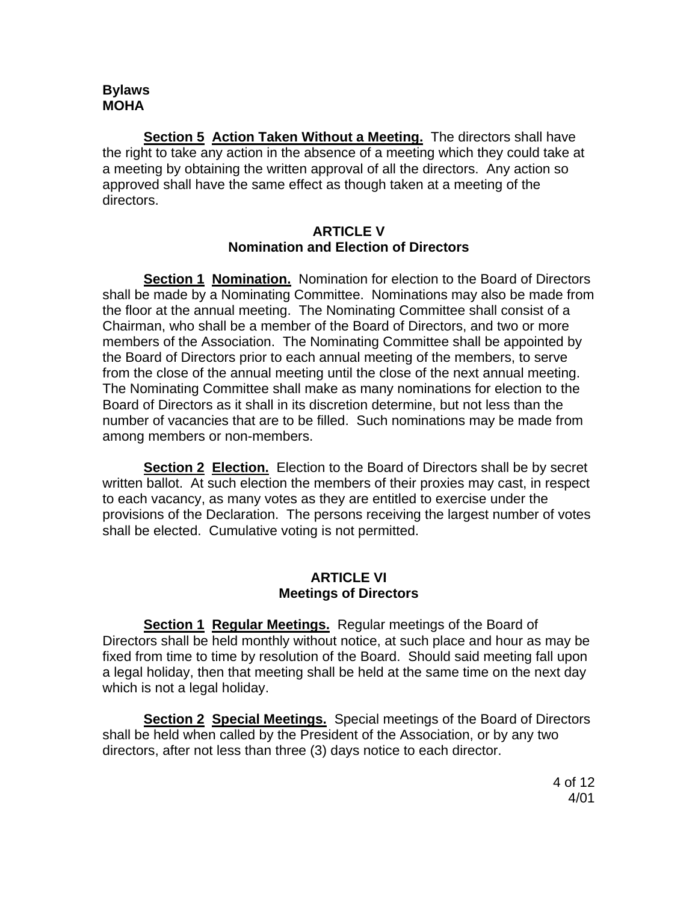**Section 5 Action Taken Without a Meeting.** The directors shall have the right to take any action in the absence of a meeting which they could take at a meeting by obtaining the written approval of all the directors. Any action so approved shall have the same effect as though taken at a meeting of the directors.

### **ARTICLE V Nomination and Election of Directors**

**Section 1 Nomination.** Nomination for election to the Board of Directors shall be made by a Nominating Committee. Nominations may also be made from the floor at the annual meeting. The Nominating Committee shall consist of a Chairman, who shall be a member of the Board of Directors, and two or more members of the Association. The Nominating Committee shall be appointed by the Board of Directors prior to each annual meeting of the members, to serve from the close of the annual meeting until the close of the next annual meeting. The Nominating Committee shall make as many nominations for election to the Board of Directors as it shall in its discretion determine, but not less than the number of vacancies that are to be filled. Such nominations may be made from among members or non-members.

**Section 2 Election.** Election to the Board of Directors shall be by secret written ballot. At such election the members of their proxies may cast, in respect to each vacancy, as many votes as they are entitled to exercise under the provisions of the Declaration. The persons receiving the largest number of votes shall be elected. Cumulative voting is not permitted.

### **ARTICLE VI Meetings of Directors**

**Section 1 Regular Meetings.** Regular meetings of the Board of Directors shall be held monthly without notice, at such place and hour as may be fixed from time to time by resolution of the Board. Should said meeting fall upon a legal holiday, then that meeting shall be held at the same time on the next day which is not a legal holiday.

**Section 2 Special Meetings.** Special meetings of the Board of Directors shall be held when called by the President of the Association, or by any two directors, after not less than three (3) days notice to each director.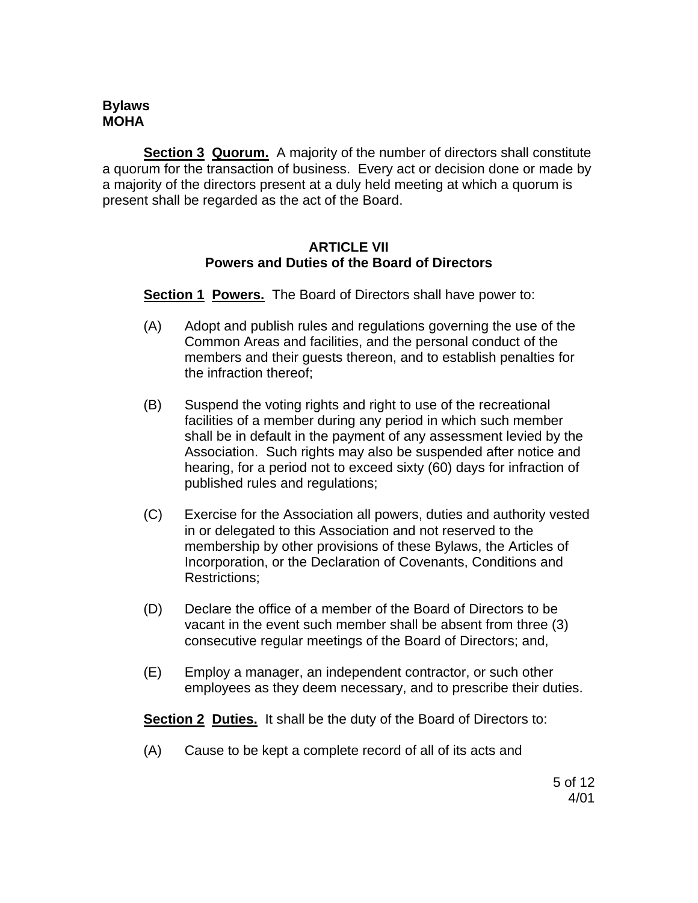**Section 3 Quorum.** A majority of the number of directors shall constitute a quorum for the transaction of business. Every act or decision done or made by a majority of the directors present at a duly held meeting at which a quorum is present shall be regarded as the act of the Board.

#### **ARTICLE VII Powers and Duties of the Board of Directors**

**Section 1 Powers.** The Board of Directors shall have power to:

- (A) Adopt and publish rules and regulations governing the use of the Common Areas and facilities, and the personal conduct of the members and their guests thereon, and to establish penalties for the infraction thereof;
- (B) Suspend the voting rights and right to use of the recreational facilities of a member during any period in which such member shall be in default in the payment of any assessment levied by the Association. Such rights may also be suspended after notice and hearing, for a period not to exceed sixty (60) days for infraction of published rules and regulations;
- (C) Exercise for the Association all powers, duties and authority vested in or delegated to this Association and not reserved to the membership by other provisions of these Bylaws, the Articles of Incorporation, or the Declaration of Covenants, Conditions and Restrictions;
- (D) Declare the office of a member of the Board of Directors to be vacant in the event such member shall be absent from three (3) consecutive regular meetings of the Board of Directors; and,
- (E) Employ a manager, an independent contractor, or such other employees as they deem necessary, and to prescribe their duties.

**Section 2 Duties.** It shall be the duty of the Board of Directors to:

(A) Cause to be kept a complete record of all of its acts and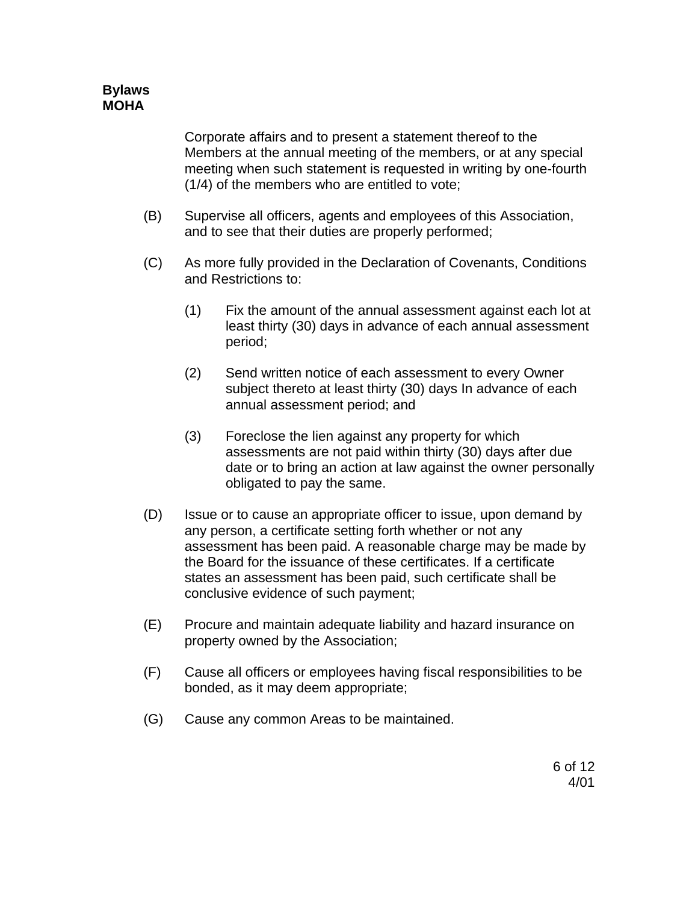Corporate affairs and to present a statement thereof to the Members at the annual meeting of the members, or at any special meeting when such statement is requested in writing by one-fourth (1/4) of the members who are entitled to vote;

- (B) Supervise all officers, agents and employees of this Association, and to see that their duties are properly performed;
- (C) As more fully provided in the Declaration of Covenants, Conditions and Restrictions to:
	- (1) Fix the amount of the annual assessment against each lot at least thirty (30) days in advance of each annual assessment period;
	- (2) Send written notice of each assessment to every Owner subject thereto at least thirty (30) days In advance of each annual assessment period; and
	- (3) Foreclose the lien against any property for which assessments are not paid within thirty (30) days after due date or to bring an action at law against the owner personally obligated to pay the same.
- (D) Issue or to cause an appropriate officer to issue, upon demand by any person, a certificate setting forth whether or not any assessment has been paid. A reasonable charge may be made by the Board for the issuance of these certificates. If a certificate states an assessment has been paid, such certificate shall be conclusive evidence of such payment;
- (E) Procure and maintain adequate liability and hazard insurance on property owned by the Association;
- (F) Cause all officers or employees having fiscal responsibilities to be bonded, as it may deem appropriate;
- (G) Cause any common Areas to be maintained.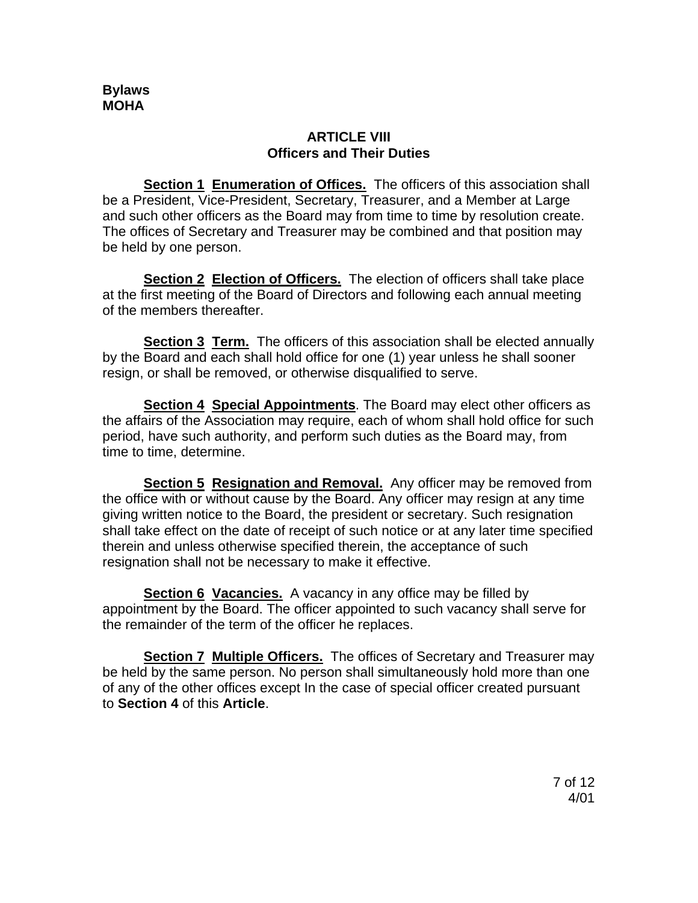### **ARTICLE VIII Officers and Their Duties**

**Section 1 Enumeration of Offices.** The officers of this association shall be a President, Vice-President, Secretary, Treasurer, and a Member at Large and such other officers as the Board may from time to time by resolution create. The offices of Secretary and Treasurer may be combined and that position may be held by one person.

**Section 2 Election of Officers.** The election of officers shall take place at the first meeting of the Board of Directors and following each annual meeting of the members thereafter.

**Section 3 Term.** The officers of this association shall be elected annually by the Board and each shall hold office for one (1) year unless he shall sooner resign, or shall be removed, or otherwise disqualified to serve.

**Section 4 Special Appointments**. The Board may elect other officers as the affairs of the Association may require, each of whom shall hold office for such period, have such authority, and perform such duties as the Board may, from time to time, determine.

**Section 5 Resignation and Removal.** Any officer may be removed from the office with or without cause by the Board. Any officer may resign at any time giving written notice to the Board, the president or secretary. Such resignation shall take effect on the date of receipt of such notice or at any later time specified therein and unless otherwise specified therein, the acceptance of such resignation shall not be necessary to make it effective.

**Section 6 Vacancies.** A vacancy in any office may be filled by appointment by the Board. The officer appointed to such vacancy shall serve for the remainder of the term of the officer he replaces.

**Section 7 Multiple Officers.** The offices of Secretary and Treasurer may be held by the same person. No person shall simultaneously hold more than one of any of the other offices except In the case of special officer created pursuant to **Section 4** of this **Article**.

> 7 of 12 4/01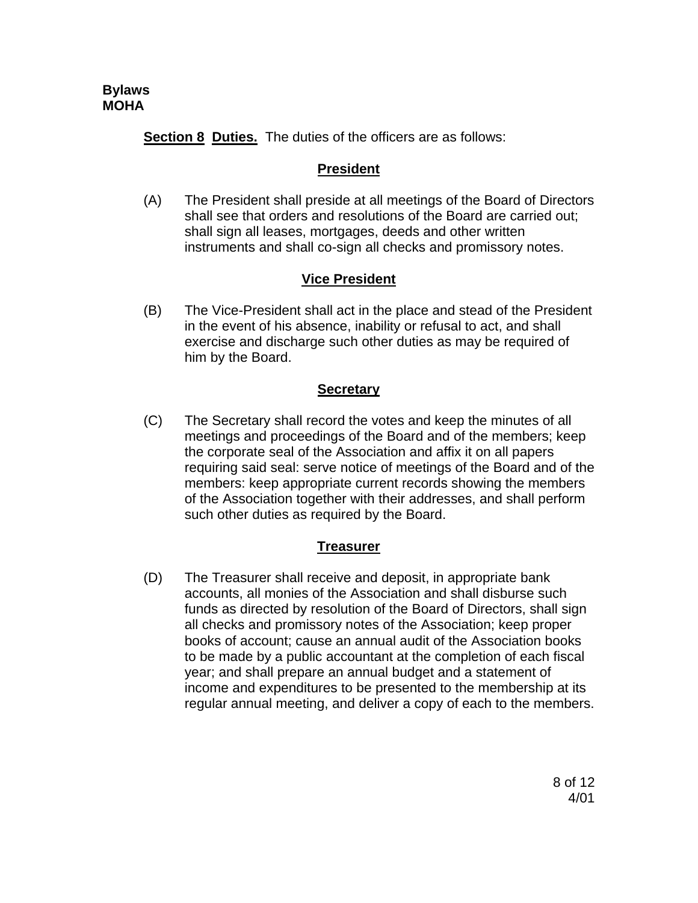**Section 8 Duties.** The duties of the officers are as follows:

# **President**

(A) The President shall preside at all meetings of the Board of Directors shall see that orders and resolutions of the Board are carried out; shall sign all leases, mortgages, deeds and other written instruments and shall co-sign all checks and promissory notes.

# **Vice President**

(B) The Vice-President shall act in the place and stead of the President in the event of his absence, inability or refusal to act, and shall exercise and discharge such other duties as may be required of him by the Board.

# **Secretary**

(C) The Secretary shall record the votes and keep the minutes of all meetings and proceedings of the Board and of the members; keep the corporate seal of the Association and affix it on all papers requiring said seal: serve notice of meetings of the Board and of the members: keep appropriate current records showing the members of the Association together with their addresses, and shall perform such other duties as required by the Board.

# **Treasurer**

(D) The Treasurer shall receive and deposit, in appropriate bank accounts, all monies of the Association and shall disburse such funds as directed by resolution of the Board of Directors, shall sign all checks and promissory notes of the Association; keep proper books of account; cause an annual audit of the Association books to be made by a public accountant at the completion of each fiscal year; and shall prepare an annual budget and a statement of income and expenditures to be presented to the membership at its regular annual meeting, and deliver a copy of each to the members.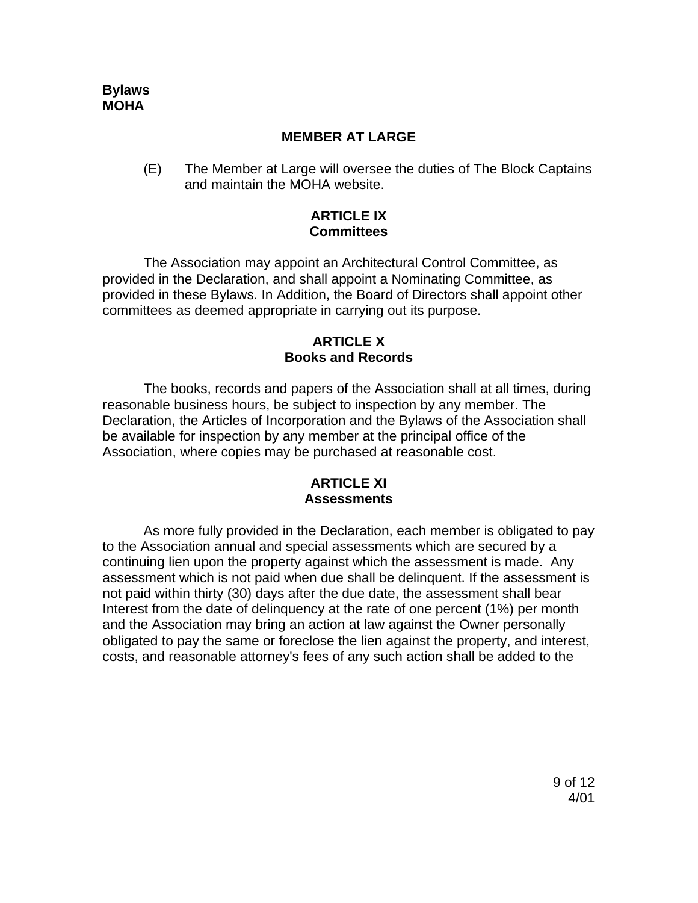### **MEMBER AT LARGE**

(E) The Member at Large will oversee the duties of The Block Captains and maintain the MOHA website.

### **ARTICLE IX Committees**

The Association may appoint an Architectural Control Committee, as provided in the Declaration, and shall appoint a Nominating Committee, as provided in these Bylaws. In Addition, the Board of Directors shall appoint other committees as deemed appropriate in carrying out its purpose.

# **ARTICLE X Books and Records**

The books, records and papers of the Association shall at all times, during reasonable business hours, be subject to inspection by any member. The Declaration, the Articles of Incorporation and the Bylaws of the Association shall be available for inspection by any member at the principal office of the Association, where copies may be purchased at reasonable cost.

### **ARTICLE XI Assessments**

As more fully provided in the Declaration, each member is obligated to pay to the Association annual and special assessments which are secured by a continuing lien upon the property against which the assessment is made. Any assessment which is not paid when due shall be delinquent. If the assessment is not paid within thirty (30) days after the due date, the assessment shall bear Interest from the date of delinquency at the rate of one percent (1%) per month and the Association may bring an action at law against the Owner personally obligated to pay the same or foreclose the lien against the property, and interest, costs, and reasonable attorney's fees of any such action shall be added to the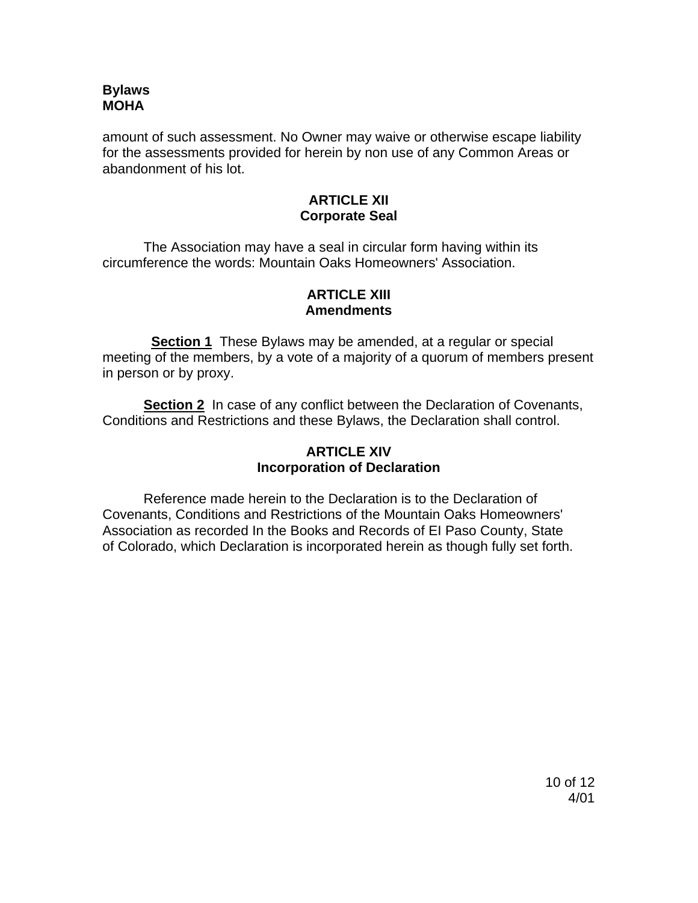amount of such assessment. No Owner may waive or otherwise escape liability for the assessments provided for herein by non use of any Common Areas or abandonment of his lot.

### **ARTICLE XII Corporate Seal**

The Association may have a seal in circular form having within its circumference the words: Mountain Oaks Homeowners' Association.

### **ARTICLE XIII Amendments**

**Section 1** These Bylaws may be amended, at a regular or special meeting of the members, by a vote of a majority of a quorum of members present in person or by proxy.

**Section 2** In case of any conflict between the Declaration of Covenants, Conditions and Restrictions and these Bylaws, the Declaration shall control.

# **ARTICLE XIV Incorporation of Declaration**

Reference made herein to the Declaration is to the Declaration of Covenants, Conditions and Restrictions of the Mountain Oaks Homeowners' Association as recorded In the Books and Records of EI Paso County, State of Colorado, which Declaration is incorporated herein as though fully set forth.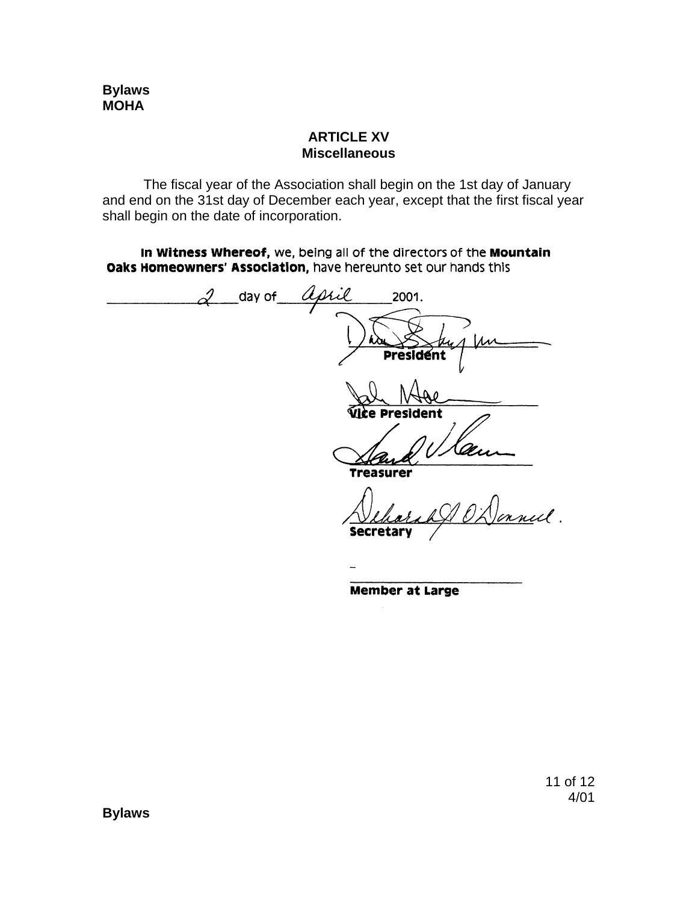### **ARTICLE XV Miscellaneous**

The fiscal year of the Association shall begin on the 1st day of January and end on the 31st day of December each year, except that the first fiscal year shall begin on the date of incorporation.

In Witness Whereof, we, being all of the directors of the Mountain Oaks Homeowners' Association, have hereunto set our hands this

|  | _day of_ | april | 2001.            |        |
|--|----------|-------|------------------|--------|
|  |          |       |                  |        |
|  |          |       |                  |        |
|  |          |       | <b>President</b> |        |
|  |          |       |                  |        |
|  |          |       | Vice President   |        |
|  |          |       |                  |        |
|  |          |       | <b>Treasurer</b> |        |
|  |          |       |                  |        |
|  |          |       |                  | enneel |
|  |          |       | <b>Secretary</b> |        |
|  |          |       |                  |        |

**Member at Large**